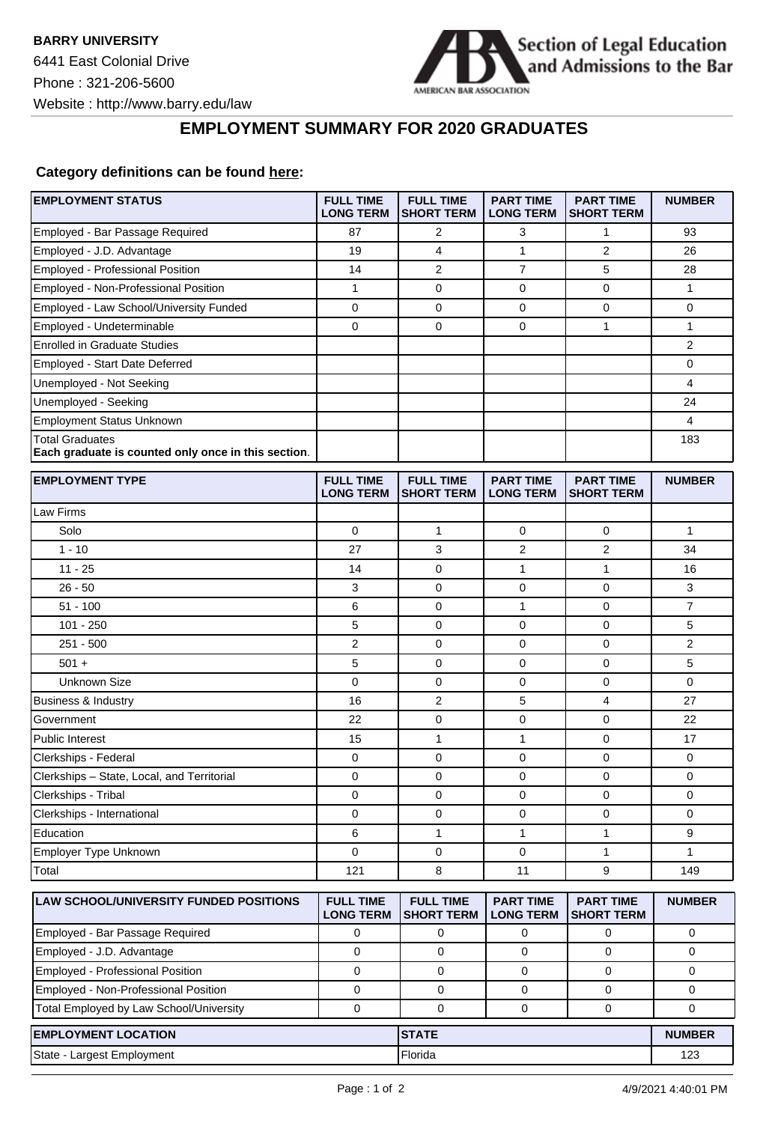

┑

## **EMPLOYMENT SUMMARY FOR 2020 GRADUATES**

## **Category definitions can be found [here:](https://www.americanbar.org/content/dam/aba/administrative/legal_education_and_admissions_to_the_bar/Questionnaires/employment-protocol-class-of-2020.pdf)**

| Employed - Bar Passage Required<br>87<br>2<br>3<br>1<br>93<br>$\overline{2}$<br>Employed - J.D. Advantage<br>4<br>1<br>19<br>26<br>7<br>Employed - Professional Position<br>$\overline{2}$<br>5<br>14<br>28<br>Employed - Non-Professional Position<br>$\mathbf{1}$<br>$\mathbf 0$<br>0<br>1<br>0<br>Employed - Law School/University Funded<br>0<br>0<br>$\mathbf 0$<br>0<br>0<br>Employed - Undeterminable<br>0<br>$\mathbf 0$<br>0<br>1<br>1<br><b>Enrolled in Graduate Studies</b><br>2<br><b>Employed - Start Date Deferred</b><br>0<br>4<br>Unemployed - Not Seeking<br>Unemployed - Seeking<br>24<br><b>Employment Status Unknown</b><br>4<br><b>Total Graduates</b><br>183<br>Each graduate is counted only once in this section.<br><b>EMPLOYMENT TYPE</b><br><b>FULL TIME</b><br><b>FULL TIME</b><br><b>PART TIME</b><br><b>PART TIME</b><br><b>NUMBER</b><br><b>LONG TERM</b><br><b>SHORT TERM</b><br><b>LONG TERM</b><br><b>SHORT TERM</b><br>Law Firms<br>0<br>$\mathbf{1}$<br>$\mathbf 0$<br>$\mathbf{1}$<br>Solo<br>0<br>3<br>2<br>$1 - 10$<br>27<br>2<br>34<br>$11 - 25$<br>14<br>$\mathbf 0$<br>$\mathbf{1}$<br>1<br>16<br>$26 - 50$<br>3<br>$\mathbf 0$<br>0<br>$\mathbf 0$<br>3<br>$51 - 100$<br>$\mathbf{1}$<br>$\overline{7}$<br>6<br>0<br>0<br>$101 - 250$<br>5<br>$\mathbf 0$<br>$\mathbf 0$<br>5<br>0<br>$251 - 500$<br>2<br>$\mathbf 0$<br>$\mathbf 0$<br>2<br>0<br>5<br>0<br>0<br>5<br>$501 +$<br>0<br><b>Unknown Size</b><br>0<br>0<br>0<br>0<br>0<br>$\overline{2}$<br>16<br>5<br>4<br>Business & Industry<br>27<br>$\mathbf 0$<br>Government<br>22<br>0<br>0<br>22<br>15<br>1<br>1<br>$\mathbf 0$<br>17<br><b>Public Interest</b><br>0<br>$\mathbf 0$<br>0<br>$\mathbf 0$<br>Clerkships - Federal<br>0<br>Clerkships - State, Local, and Territorial<br>0<br>$\mathbf 0$<br>0<br>$\mathbf 0$<br>0<br>Clerkships - Tribal<br>0<br>0<br>0<br>0<br>0<br>$\mathbf 0$<br>0<br>Clerkships - International<br>0<br>0<br>0<br>Education<br>6<br>9<br>1<br>1<br>1<br>Employer Type Unknown<br>$\mathbf 0$<br>0<br>0<br>1<br>1<br>9<br>Total<br>121<br>8<br>11<br>149<br><b>FULL TIME</b><br>LAW SCHOOL/UNIVERSITY FUNDED POSITIONS<br><b>FULL TIME</b><br><b>PART TIME</b><br><b>PART TIME</b><br><b>NUMBER</b><br><b>LONG TERM</b><br><b>SHORT TERM</b><br><b>LONG TERM</b><br><b>SHORT TERM</b><br>Employed - Bar Passage Required<br>0<br>0<br>0<br>0<br>0<br>Employed - J.D. Advantage<br>0<br>0<br>0<br>0<br>$\mathbf 0$<br>Employed - Professional Position<br>$\mathbf 0$<br>0<br>0<br>0<br>0<br>Employed - Non-Professional Position<br>0<br>0<br>0<br>0<br>0<br>Total Employed by Law School/University<br>0<br>0<br>0<br>$\mathbf 0$<br>0<br><b>EMPLOYMENT LOCATION</b><br><b>STATE</b><br><b>NUMBER</b><br>Florida<br>123 | <b>EMPLOYMENT STATUS</b>   | <b>FULL TIME</b><br><b>LONG TERM</b> | <b>FULL TIME</b><br><b>SHORT TERM</b> | <b>PART TIME</b><br><b>LONG TERM</b> | <b>PART TIME</b><br><b>SHORT TERM</b> | <b>NUMBER</b> |
|----------------------------------------------------------------------------------------------------------------------------------------------------------------------------------------------------------------------------------------------------------------------------------------------------------------------------------------------------------------------------------------------------------------------------------------------------------------------------------------------------------------------------------------------------------------------------------------------------------------------------------------------------------------------------------------------------------------------------------------------------------------------------------------------------------------------------------------------------------------------------------------------------------------------------------------------------------------------------------------------------------------------------------------------------------------------------------------------------------------------------------------------------------------------------------------------------------------------------------------------------------------------------------------------------------------------------------------------------------------------------------------------------------------------------------------------------------------------------------------------------------------------------------------------------------------------------------------------------------------------------------------------------------------------------------------------------------------------------------------------------------------------------------------------------------------------------------------------------------------------------------------------------------------------------------------------------------------------------------------------------------------------------------------------------------------------------------------------------------------------------------------------------------------------------------------------------------------------------------------------------------------------------------------------------------------------------------------------------------------------------------------------------------------------------------------------------------------------------------------------------------------------------------------------------------------------------------------------------------------------------------------------------------------------------------------------------------------------------------------------------------|----------------------------|--------------------------------------|---------------------------------------|--------------------------------------|---------------------------------------|---------------|
|                                                                                                                                                                                                                                                                                                                                                                                                                                                                                                                                                                                                                                                                                                                                                                                                                                                                                                                                                                                                                                                                                                                                                                                                                                                                                                                                                                                                                                                                                                                                                                                                                                                                                                                                                                                                                                                                                                                                                                                                                                                                                                                                                                                                                                                                                                                                                                                                                                                                                                                                                                                                                                                                                                                                                          |                            |                                      |                                       |                                      |                                       |               |
|                                                                                                                                                                                                                                                                                                                                                                                                                                                                                                                                                                                                                                                                                                                                                                                                                                                                                                                                                                                                                                                                                                                                                                                                                                                                                                                                                                                                                                                                                                                                                                                                                                                                                                                                                                                                                                                                                                                                                                                                                                                                                                                                                                                                                                                                                                                                                                                                                                                                                                                                                                                                                                                                                                                                                          |                            |                                      |                                       |                                      |                                       |               |
|                                                                                                                                                                                                                                                                                                                                                                                                                                                                                                                                                                                                                                                                                                                                                                                                                                                                                                                                                                                                                                                                                                                                                                                                                                                                                                                                                                                                                                                                                                                                                                                                                                                                                                                                                                                                                                                                                                                                                                                                                                                                                                                                                                                                                                                                                                                                                                                                                                                                                                                                                                                                                                                                                                                                                          |                            |                                      |                                       |                                      |                                       |               |
|                                                                                                                                                                                                                                                                                                                                                                                                                                                                                                                                                                                                                                                                                                                                                                                                                                                                                                                                                                                                                                                                                                                                                                                                                                                                                                                                                                                                                                                                                                                                                                                                                                                                                                                                                                                                                                                                                                                                                                                                                                                                                                                                                                                                                                                                                                                                                                                                                                                                                                                                                                                                                                                                                                                                                          |                            |                                      |                                       |                                      |                                       |               |
|                                                                                                                                                                                                                                                                                                                                                                                                                                                                                                                                                                                                                                                                                                                                                                                                                                                                                                                                                                                                                                                                                                                                                                                                                                                                                                                                                                                                                                                                                                                                                                                                                                                                                                                                                                                                                                                                                                                                                                                                                                                                                                                                                                                                                                                                                                                                                                                                                                                                                                                                                                                                                                                                                                                                                          |                            |                                      |                                       |                                      |                                       |               |
|                                                                                                                                                                                                                                                                                                                                                                                                                                                                                                                                                                                                                                                                                                                                                                                                                                                                                                                                                                                                                                                                                                                                                                                                                                                                                                                                                                                                                                                                                                                                                                                                                                                                                                                                                                                                                                                                                                                                                                                                                                                                                                                                                                                                                                                                                                                                                                                                                                                                                                                                                                                                                                                                                                                                                          |                            |                                      |                                       |                                      |                                       |               |
|                                                                                                                                                                                                                                                                                                                                                                                                                                                                                                                                                                                                                                                                                                                                                                                                                                                                                                                                                                                                                                                                                                                                                                                                                                                                                                                                                                                                                                                                                                                                                                                                                                                                                                                                                                                                                                                                                                                                                                                                                                                                                                                                                                                                                                                                                                                                                                                                                                                                                                                                                                                                                                                                                                                                                          |                            |                                      |                                       |                                      |                                       |               |
|                                                                                                                                                                                                                                                                                                                                                                                                                                                                                                                                                                                                                                                                                                                                                                                                                                                                                                                                                                                                                                                                                                                                                                                                                                                                                                                                                                                                                                                                                                                                                                                                                                                                                                                                                                                                                                                                                                                                                                                                                                                                                                                                                                                                                                                                                                                                                                                                                                                                                                                                                                                                                                                                                                                                                          |                            |                                      |                                       |                                      |                                       |               |
|                                                                                                                                                                                                                                                                                                                                                                                                                                                                                                                                                                                                                                                                                                                                                                                                                                                                                                                                                                                                                                                                                                                                                                                                                                                                                                                                                                                                                                                                                                                                                                                                                                                                                                                                                                                                                                                                                                                                                                                                                                                                                                                                                                                                                                                                                                                                                                                                                                                                                                                                                                                                                                                                                                                                                          |                            |                                      |                                       |                                      |                                       |               |
|                                                                                                                                                                                                                                                                                                                                                                                                                                                                                                                                                                                                                                                                                                                                                                                                                                                                                                                                                                                                                                                                                                                                                                                                                                                                                                                                                                                                                                                                                                                                                                                                                                                                                                                                                                                                                                                                                                                                                                                                                                                                                                                                                                                                                                                                                                                                                                                                                                                                                                                                                                                                                                                                                                                                                          |                            |                                      |                                       |                                      |                                       |               |
|                                                                                                                                                                                                                                                                                                                                                                                                                                                                                                                                                                                                                                                                                                                                                                                                                                                                                                                                                                                                                                                                                                                                                                                                                                                                                                                                                                                                                                                                                                                                                                                                                                                                                                                                                                                                                                                                                                                                                                                                                                                                                                                                                                                                                                                                                                                                                                                                                                                                                                                                                                                                                                                                                                                                                          |                            |                                      |                                       |                                      |                                       |               |
|                                                                                                                                                                                                                                                                                                                                                                                                                                                                                                                                                                                                                                                                                                                                                                                                                                                                                                                                                                                                                                                                                                                                                                                                                                                                                                                                                                                                                                                                                                                                                                                                                                                                                                                                                                                                                                                                                                                                                                                                                                                                                                                                                                                                                                                                                                                                                                                                                                                                                                                                                                                                                                                                                                                                                          |                            |                                      |                                       |                                      |                                       |               |
|                                                                                                                                                                                                                                                                                                                                                                                                                                                                                                                                                                                                                                                                                                                                                                                                                                                                                                                                                                                                                                                                                                                                                                                                                                                                                                                                                                                                                                                                                                                                                                                                                                                                                                                                                                                                                                                                                                                                                                                                                                                                                                                                                                                                                                                                                                                                                                                                                                                                                                                                                                                                                                                                                                                                                          |                            |                                      |                                       |                                      |                                       |               |
|                                                                                                                                                                                                                                                                                                                                                                                                                                                                                                                                                                                                                                                                                                                                                                                                                                                                                                                                                                                                                                                                                                                                                                                                                                                                                                                                                                                                                                                                                                                                                                                                                                                                                                                                                                                                                                                                                                                                                                                                                                                                                                                                                                                                                                                                                                                                                                                                                                                                                                                                                                                                                                                                                                                                                          |                            |                                      |                                       |                                      |                                       |               |
|                                                                                                                                                                                                                                                                                                                                                                                                                                                                                                                                                                                                                                                                                                                                                                                                                                                                                                                                                                                                                                                                                                                                                                                                                                                                                                                                                                                                                                                                                                                                                                                                                                                                                                                                                                                                                                                                                                                                                                                                                                                                                                                                                                                                                                                                                                                                                                                                                                                                                                                                                                                                                                                                                                                                                          |                            |                                      |                                       |                                      |                                       |               |
|                                                                                                                                                                                                                                                                                                                                                                                                                                                                                                                                                                                                                                                                                                                                                                                                                                                                                                                                                                                                                                                                                                                                                                                                                                                                                                                                                                                                                                                                                                                                                                                                                                                                                                                                                                                                                                                                                                                                                                                                                                                                                                                                                                                                                                                                                                                                                                                                                                                                                                                                                                                                                                                                                                                                                          |                            |                                      |                                       |                                      |                                       |               |
|                                                                                                                                                                                                                                                                                                                                                                                                                                                                                                                                                                                                                                                                                                                                                                                                                                                                                                                                                                                                                                                                                                                                                                                                                                                                                                                                                                                                                                                                                                                                                                                                                                                                                                                                                                                                                                                                                                                                                                                                                                                                                                                                                                                                                                                                                                                                                                                                                                                                                                                                                                                                                                                                                                                                                          |                            |                                      |                                       |                                      |                                       |               |
|                                                                                                                                                                                                                                                                                                                                                                                                                                                                                                                                                                                                                                                                                                                                                                                                                                                                                                                                                                                                                                                                                                                                                                                                                                                                                                                                                                                                                                                                                                                                                                                                                                                                                                                                                                                                                                                                                                                                                                                                                                                                                                                                                                                                                                                                                                                                                                                                                                                                                                                                                                                                                                                                                                                                                          |                            |                                      |                                       |                                      |                                       |               |
|                                                                                                                                                                                                                                                                                                                                                                                                                                                                                                                                                                                                                                                                                                                                                                                                                                                                                                                                                                                                                                                                                                                                                                                                                                                                                                                                                                                                                                                                                                                                                                                                                                                                                                                                                                                                                                                                                                                                                                                                                                                                                                                                                                                                                                                                                                                                                                                                                                                                                                                                                                                                                                                                                                                                                          |                            |                                      |                                       |                                      |                                       |               |
|                                                                                                                                                                                                                                                                                                                                                                                                                                                                                                                                                                                                                                                                                                                                                                                                                                                                                                                                                                                                                                                                                                                                                                                                                                                                                                                                                                                                                                                                                                                                                                                                                                                                                                                                                                                                                                                                                                                                                                                                                                                                                                                                                                                                                                                                                                                                                                                                                                                                                                                                                                                                                                                                                                                                                          |                            |                                      |                                       |                                      |                                       |               |
|                                                                                                                                                                                                                                                                                                                                                                                                                                                                                                                                                                                                                                                                                                                                                                                                                                                                                                                                                                                                                                                                                                                                                                                                                                                                                                                                                                                                                                                                                                                                                                                                                                                                                                                                                                                                                                                                                                                                                                                                                                                                                                                                                                                                                                                                                                                                                                                                                                                                                                                                                                                                                                                                                                                                                          |                            |                                      |                                       |                                      |                                       |               |
|                                                                                                                                                                                                                                                                                                                                                                                                                                                                                                                                                                                                                                                                                                                                                                                                                                                                                                                                                                                                                                                                                                                                                                                                                                                                                                                                                                                                                                                                                                                                                                                                                                                                                                                                                                                                                                                                                                                                                                                                                                                                                                                                                                                                                                                                                                                                                                                                                                                                                                                                                                                                                                                                                                                                                          |                            |                                      |                                       |                                      |                                       |               |
|                                                                                                                                                                                                                                                                                                                                                                                                                                                                                                                                                                                                                                                                                                                                                                                                                                                                                                                                                                                                                                                                                                                                                                                                                                                                                                                                                                                                                                                                                                                                                                                                                                                                                                                                                                                                                                                                                                                                                                                                                                                                                                                                                                                                                                                                                                                                                                                                                                                                                                                                                                                                                                                                                                                                                          |                            |                                      |                                       |                                      |                                       |               |
|                                                                                                                                                                                                                                                                                                                                                                                                                                                                                                                                                                                                                                                                                                                                                                                                                                                                                                                                                                                                                                                                                                                                                                                                                                                                                                                                                                                                                                                                                                                                                                                                                                                                                                                                                                                                                                                                                                                                                                                                                                                                                                                                                                                                                                                                                                                                                                                                                                                                                                                                                                                                                                                                                                                                                          |                            |                                      |                                       |                                      |                                       |               |
|                                                                                                                                                                                                                                                                                                                                                                                                                                                                                                                                                                                                                                                                                                                                                                                                                                                                                                                                                                                                                                                                                                                                                                                                                                                                                                                                                                                                                                                                                                                                                                                                                                                                                                                                                                                                                                                                                                                                                                                                                                                                                                                                                                                                                                                                                                                                                                                                                                                                                                                                                                                                                                                                                                                                                          |                            |                                      |                                       |                                      |                                       |               |
|                                                                                                                                                                                                                                                                                                                                                                                                                                                                                                                                                                                                                                                                                                                                                                                                                                                                                                                                                                                                                                                                                                                                                                                                                                                                                                                                                                                                                                                                                                                                                                                                                                                                                                                                                                                                                                                                                                                                                                                                                                                                                                                                                                                                                                                                                                                                                                                                                                                                                                                                                                                                                                                                                                                                                          |                            |                                      |                                       |                                      |                                       |               |
|                                                                                                                                                                                                                                                                                                                                                                                                                                                                                                                                                                                                                                                                                                                                                                                                                                                                                                                                                                                                                                                                                                                                                                                                                                                                                                                                                                                                                                                                                                                                                                                                                                                                                                                                                                                                                                                                                                                                                                                                                                                                                                                                                                                                                                                                                                                                                                                                                                                                                                                                                                                                                                                                                                                                                          |                            |                                      |                                       |                                      |                                       |               |
|                                                                                                                                                                                                                                                                                                                                                                                                                                                                                                                                                                                                                                                                                                                                                                                                                                                                                                                                                                                                                                                                                                                                                                                                                                                                                                                                                                                                                                                                                                                                                                                                                                                                                                                                                                                                                                                                                                                                                                                                                                                                                                                                                                                                                                                                                                                                                                                                                                                                                                                                                                                                                                                                                                                                                          |                            |                                      |                                       |                                      |                                       |               |
|                                                                                                                                                                                                                                                                                                                                                                                                                                                                                                                                                                                                                                                                                                                                                                                                                                                                                                                                                                                                                                                                                                                                                                                                                                                                                                                                                                                                                                                                                                                                                                                                                                                                                                                                                                                                                                                                                                                                                                                                                                                                                                                                                                                                                                                                                                                                                                                                                                                                                                                                                                                                                                                                                                                                                          |                            |                                      |                                       |                                      |                                       |               |
|                                                                                                                                                                                                                                                                                                                                                                                                                                                                                                                                                                                                                                                                                                                                                                                                                                                                                                                                                                                                                                                                                                                                                                                                                                                                                                                                                                                                                                                                                                                                                                                                                                                                                                                                                                                                                                                                                                                                                                                                                                                                                                                                                                                                                                                                                                                                                                                                                                                                                                                                                                                                                                                                                                                                                          |                            |                                      |                                       |                                      |                                       |               |
|                                                                                                                                                                                                                                                                                                                                                                                                                                                                                                                                                                                                                                                                                                                                                                                                                                                                                                                                                                                                                                                                                                                                                                                                                                                                                                                                                                                                                                                                                                                                                                                                                                                                                                                                                                                                                                                                                                                                                                                                                                                                                                                                                                                                                                                                                                                                                                                                                                                                                                                                                                                                                                                                                                                                                          |                            |                                      |                                       |                                      |                                       |               |
|                                                                                                                                                                                                                                                                                                                                                                                                                                                                                                                                                                                                                                                                                                                                                                                                                                                                                                                                                                                                                                                                                                                                                                                                                                                                                                                                                                                                                                                                                                                                                                                                                                                                                                                                                                                                                                                                                                                                                                                                                                                                                                                                                                                                                                                                                                                                                                                                                                                                                                                                                                                                                                                                                                                                                          |                            |                                      |                                       |                                      |                                       |               |
|                                                                                                                                                                                                                                                                                                                                                                                                                                                                                                                                                                                                                                                                                                                                                                                                                                                                                                                                                                                                                                                                                                                                                                                                                                                                                                                                                                                                                                                                                                                                                                                                                                                                                                                                                                                                                                                                                                                                                                                                                                                                                                                                                                                                                                                                                                                                                                                                                                                                                                                                                                                                                                                                                                                                                          |                            |                                      |                                       |                                      |                                       |               |
|                                                                                                                                                                                                                                                                                                                                                                                                                                                                                                                                                                                                                                                                                                                                                                                                                                                                                                                                                                                                                                                                                                                                                                                                                                                                                                                                                                                                                                                                                                                                                                                                                                                                                                                                                                                                                                                                                                                                                                                                                                                                                                                                                                                                                                                                                                                                                                                                                                                                                                                                                                                                                                                                                                                                                          |                            |                                      |                                       |                                      |                                       |               |
|                                                                                                                                                                                                                                                                                                                                                                                                                                                                                                                                                                                                                                                                                                                                                                                                                                                                                                                                                                                                                                                                                                                                                                                                                                                                                                                                                                                                                                                                                                                                                                                                                                                                                                                                                                                                                                                                                                                                                                                                                                                                                                                                                                                                                                                                                                                                                                                                                                                                                                                                                                                                                                                                                                                                                          |                            |                                      |                                       |                                      |                                       |               |
|                                                                                                                                                                                                                                                                                                                                                                                                                                                                                                                                                                                                                                                                                                                                                                                                                                                                                                                                                                                                                                                                                                                                                                                                                                                                                                                                                                                                                                                                                                                                                                                                                                                                                                                                                                                                                                                                                                                                                                                                                                                                                                                                                                                                                                                                                                                                                                                                                                                                                                                                                                                                                                                                                                                                                          |                            |                                      |                                       |                                      |                                       |               |
|                                                                                                                                                                                                                                                                                                                                                                                                                                                                                                                                                                                                                                                                                                                                                                                                                                                                                                                                                                                                                                                                                                                                                                                                                                                                                                                                                                                                                                                                                                                                                                                                                                                                                                                                                                                                                                                                                                                                                                                                                                                                                                                                                                                                                                                                                                                                                                                                                                                                                                                                                                                                                                                                                                                                                          |                            |                                      |                                       |                                      |                                       |               |
|                                                                                                                                                                                                                                                                                                                                                                                                                                                                                                                                                                                                                                                                                                                                                                                                                                                                                                                                                                                                                                                                                                                                                                                                                                                                                                                                                                                                                                                                                                                                                                                                                                                                                                                                                                                                                                                                                                                                                                                                                                                                                                                                                                                                                                                                                                                                                                                                                                                                                                                                                                                                                                                                                                                                                          |                            |                                      |                                       |                                      |                                       |               |
|                                                                                                                                                                                                                                                                                                                                                                                                                                                                                                                                                                                                                                                                                                                                                                                                                                                                                                                                                                                                                                                                                                                                                                                                                                                                                                                                                                                                                                                                                                                                                                                                                                                                                                                                                                                                                                                                                                                                                                                                                                                                                                                                                                                                                                                                                                                                                                                                                                                                                                                                                                                                                                                                                                                                                          |                            |                                      |                                       |                                      |                                       |               |
|                                                                                                                                                                                                                                                                                                                                                                                                                                                                                                                                                                                                                                                                                                                                                                                                                                                                                                                                                                                                                                                                                                                                                                                                                                                                                                                                                                                                                                                                                                                                                                                                                                                                                                                                                                                                                                                                                                                                                                                                                                                                                                                                                                                                                                                                                                                                                                                                                                                                                                                                                                                                                                                                                                                                                          |                            |                                      |                                       |                                      |                                       |               |
|                                                                                                                                                                                                                                                                                                                                                                                                                                                                                                                                                                                                                                                                                                                                                                                                                                                                                                                                                                                                                                                                                                                                                                                                                                                                                                                                                                                                                                                                                                                                                                                                                                                                                                                                                                                                                                                                                                                                                                                                                                                                                                                                                                                                                                                                                                                                                                                                                                                                                                                                                                                                                                                                                                                                                          | State - Largest Employment |                                      |                                       |                                      |                                       |               |